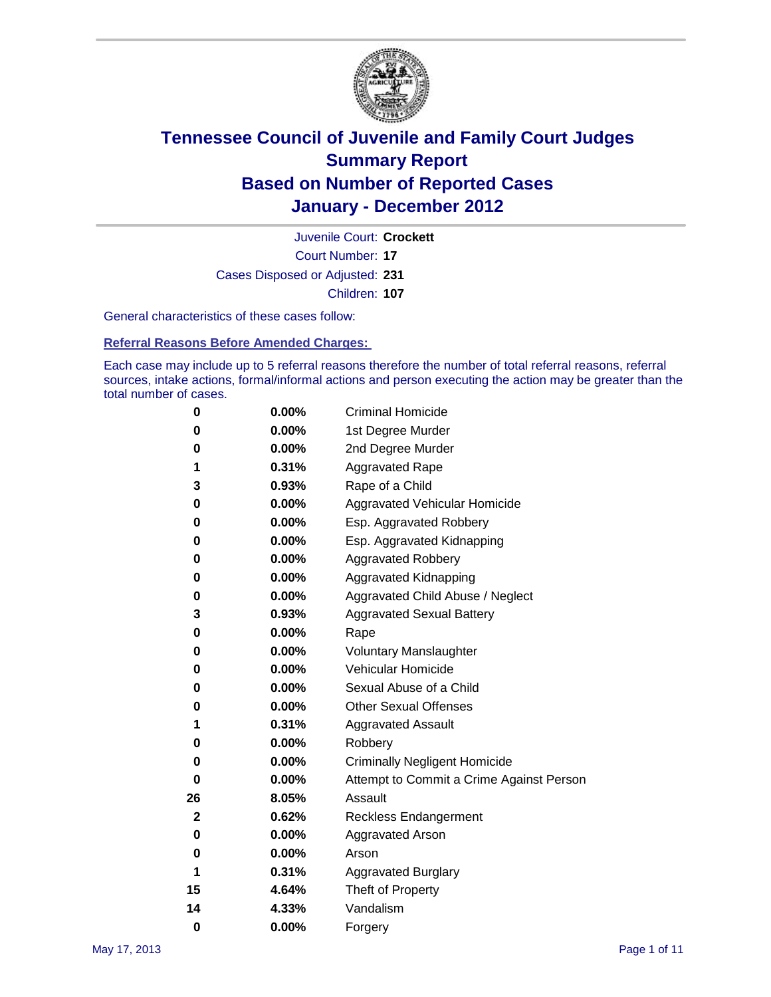

Court Number: **17** Juvenile Court: **Crockett** Cases Disposed or Adjusted: **231** Children: **107**

General characteristics of these cases follow:

**Referral Reasons Before Amended Charges:** 

Each case may include up to 5 referral reasons therefore the number of total referral reasons, referral sources, intake actions, formal/informal actions and person executing the action may be greater than the total number of cases.

| 0  | 0.00% | <b>Criminal Homicide</b>                 |
|----|-------|------------------------------------------|
| 0  | 0.00% | 1st Degree Murder                        |
| 0  | 0.00% | 2nd Degree Murder                        |
| 1  | 0.31% | <b>Aggravated Rape</b>                   |
| 3  | 0.93% | Rape of a Child                          |
| 0  | 0.00% | Aggravated Vehicular Homicide            |
| 0  | 0.00% | Esp. Aggravated Robbery                  |
| 0  | 0.00% | Esp. Aggravated Kidnapping               |
| 0  | 0.00% | Aggravated Robbery                       |
| 0  | 0.00% | Aggravated Kidnapping                    |
| 0  | 0.00% | Aggravated Child Abuse / Neglect         |
| 3  | 0.93% | <b>Aggravated Sexual Battery</b>         |
| 0  | 0.00% | Rape                                     |
| 0  | 0.00% | <b>Voluntary Manslaughter</b>            |
| 0  | 0.00% | Vehicular Homicide                       |
| 0  | 0.00% | Sexual Abuse of a Child                  |
| 0  | 0.00% | <b>Other Sexual Offenses</b>             |
| 1  | 0.31% | <b>Aggravated Assault</b>                |
| 0  | 0.00% | Robbery                                  |
| 0  | 0.00% | <b>Criminally Negligent Homicide</b>     |
| 0  | 0.00% | Attempt to Commit a Crime Against Person |
| 26 | 8.05% | Assault                                  |
| 2  | 0.62% | <b>Reckless Endangerment</b>             |
| 0  | 0.00% | <b>Aggravated Arson</b>                  |
| 0  | 0.00% | Arson                                    |
| 1  | 0.31% | <b>Aggravated Burglary</b>               |
| 15 | 4.64% | Theft of Property                        |
| 14 | 4.33% | Vandalism                                |
| 0  | 0.00% | Forgery                                  |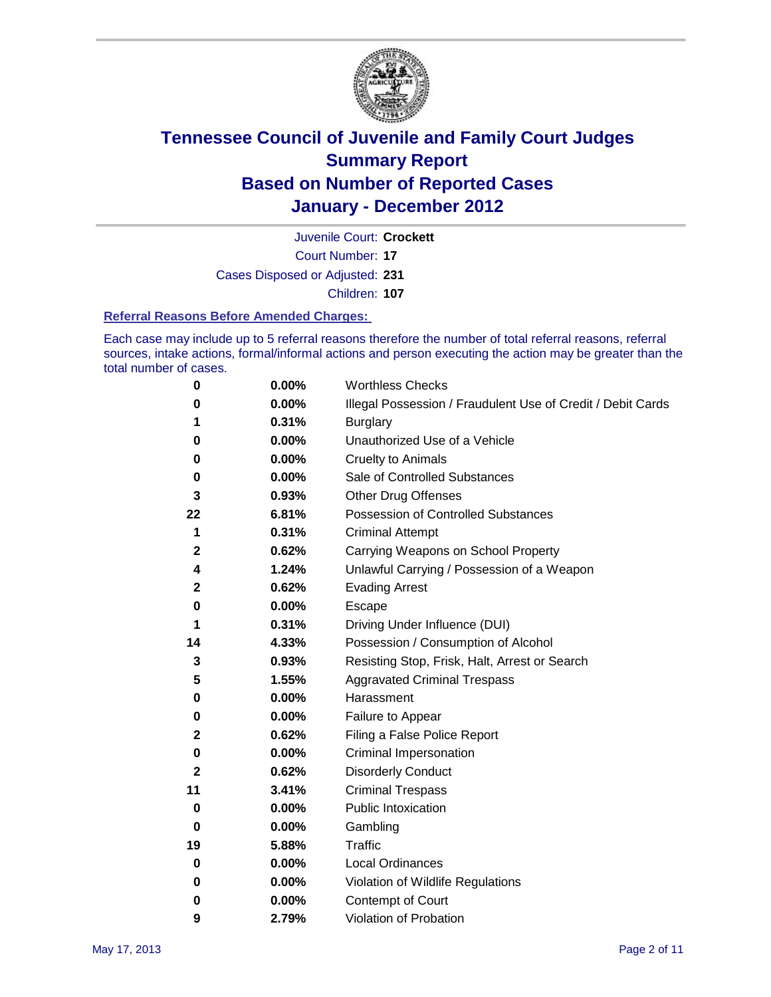

Court Number: **17** Juvenile Court: **Crockett**

Cases Disposed or Adjusted: **231**

Children: **107**

#### **Referral Reasons Before Amended Charges:**

Each case may include up to 5 referral reasons therefore the number of total referral reasons, referral sources, intake actions, formal/informal actions and person executing the action may be greater than the total number of cases.

| 0           | 0.00% | <b>Worthless Checks</b>                                     |
|-------------|-------|-------------------------------------------------------------|
| 0           | 0.00% | Illegal Possession / Fraudulent Use of Credit / Debit Cards |
| 1           | 0.31% | <b>Burglary</b>                                             |
| 0           | 0.00% | Unauthorized Use of a Vehicle                               |
| 0           | 0.00% | <b>Cruelty to Animals</b>                                   |
| 0           | 0.00% | Sale of Controlled Substances                               |
| 3           | 0.93% | <b>Other Drug Offenses</b>                                  |
| 22          | 6.81% | Possession of Controlled Substances                         |
| 1           | 0.31% | <b>Criminal Attempt</b>                                     |
| 2           | 0.62% | Carrying Weapons on School Property                         |
| 4           | 1.24% | Unlawful Carrying / Possession of a Weapon                  |
| 2           | 0.62% | <b>Evading Arrest</b>                                       |
| 0           | 0.00% | Escape                                                      |
| 1           | 0.31% | Driving Under Influence (DUI)                               |
| 14          | 4.33% | Possession / Consumption of Alcohol                         |
| 3           | 0.93% | Resisting Stop, Frisk, Halt, Arrest or Search               |
| 5           | 1.55% | <b>Aggravated Criminal Trespass</b>                         |
| 0           | 0.00% | Harassment                                                  |
| 0           | 0.00% | Failure to Appear                                           |
| 2           | 0.62% | Filing a False Police Report                                |
| 0           | 0.00% | Criminal Impersonation                                      |
| 2           | 0.62% | <b>Disorderly Conduct</b>                                   |
| 11          | 3.41% | <b>Criminal Trespass</b>                                    |
| 0           | 0.00% | <b>Public Intoxication</b>                                  |
| 0           | 0.00% | Gambling                                                    |
| 19          | 5.88% | Traffic                                                     |
| 0           | 0.00% | <b>Local Ordinances</b>                                     |
| $\mathbf 0$ | 0.00% | Violation of Wildlife Regulations                           |
| 0           | 0.00% | Contempt of Court                                           |
| 9           | 2.79% | Violation of Probation                                      |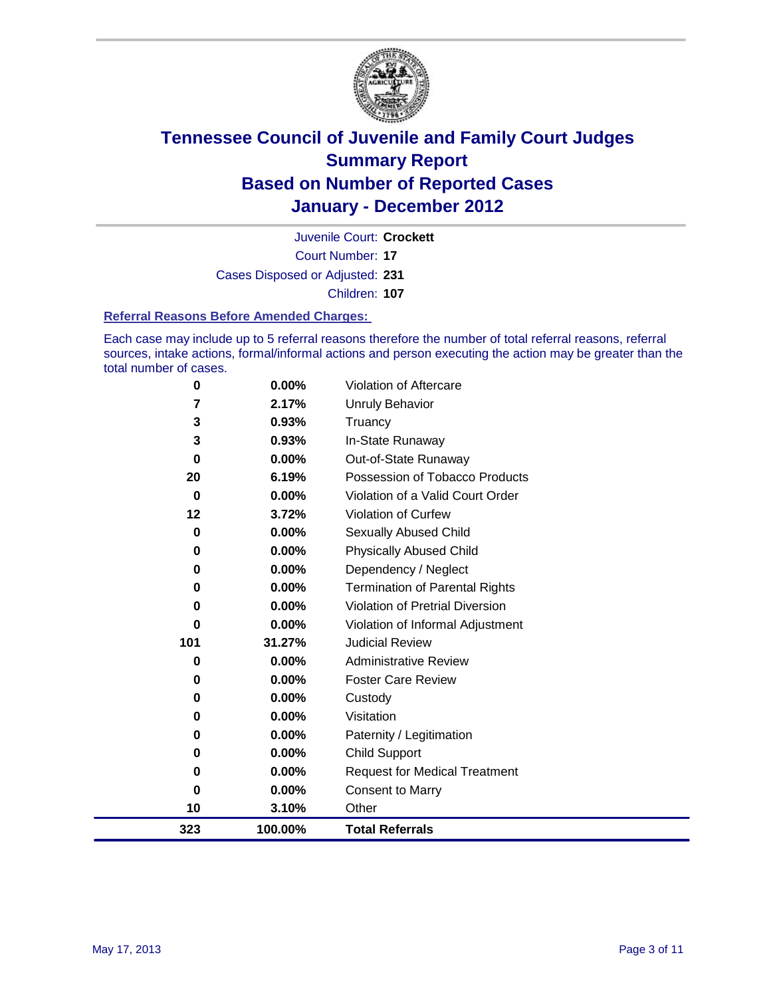

Court Number: **17** Juvenile Court: **Crockett** Cases Disposed or Adjusted: **231** Children: **107**

#### **Referral Reasons Before Amended Charges:**

Each case may include up to 5 referral reasons therefore the number of total referral reasons, referral sources, intake actions, formal/informal actions and person executing the action may be greater than the total number of cases.

| 0        | 0.00%    | Violation of Aftercare                 |
|----------|----------|----------------------------------------|
| 7        | 2.17%    | <b>Unruly Behavior</b>                 |
| 3        | 0.93%    | Truancy                                |
| 3        | 0.93%    | In-State Runaway                       |
| $\bf{0}$ | $0.00\%$ | Out-of-State Runaway                   |
| 20       | 6.19%    | Possession of Tobacco Products         |
| $\bf{0}$ | 0.00%    | Violation of a Valid Court Order       |
| 12       | 3.72%    | <b>Violation of Curfew</b>             |
| 0        | 0.00%    | Sexually Abused Child                  |
| 0        | 0.00%    | <b>Physically Abused Child</b>         |
| 0        | 0.00%    | Dependency / Neglect                   |
| 0        | 0.00%    | <b>Termination of Parental Rights</b>  |
| 0        | 0.00%    | <b>Violation of Pretrial Diversion</b> |
| 0        | 0.00%    | Violation of Informal Adjustment       |
| 101      | 31.27%   | <b>Judicial Review</b>                 |
| 0        | 0.00%    | <b>Administrative Review</b>           |
| 0        | 0.00%    | <b>Foster Care Review</b>              |
| 0        | 0.00%    | Custody                                |
| 0        | 0.00%    | Visitation                             |
| 0        | 0.00%    | Paternity / Legitimation               |
| 0        | 0.00%    | <b>Child Support</b>                   |
| 0        | 0.00%    | <b>Request for Medical Treatment</b>   |
| $\bf{0}$ | 0.00%    | <b>Consent to Marry</b>                |
| 10       | 3.10%    | Other                                  |
| 323      | 100.00%  | <b>Total Referrals</b>                 |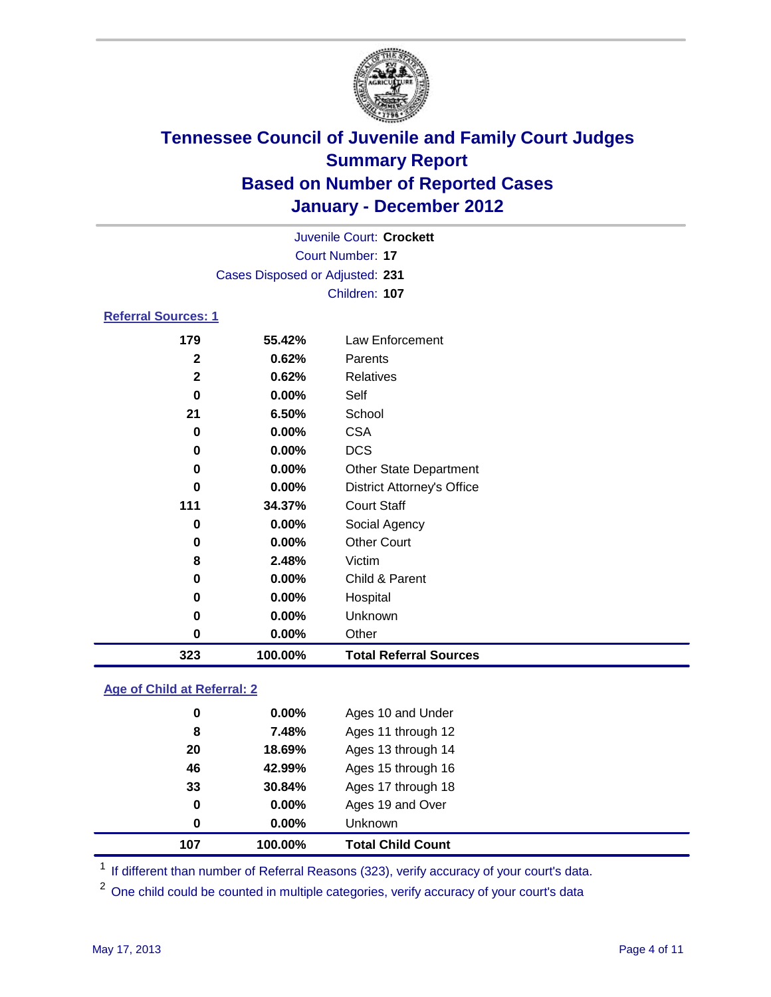

|                                 |               | Juvenile Court: Crockett          |  |  |  |  |  |
|---------------------------------|---------------|-----------------------------------|--|--|--|--|--|
| Court Number: 17                |               |                                   |  |  |  |  |  |
| Cases Disposed or Adjusted: 231 |               |                                   |  |  |  |  |  |
|                                 | Children: 107 |                                   |  |  |  |  |  |
| <b>Referral Sources: 1</b>      |               |                                   |  |  |  |  |  |
| 179                             | 55.42%        | Law Enforcement                   |  |  |  |  |  |
| $\mathbf{2}$                    | 0.62%         | Parents                           |  |  |  |  |  |
| $\mathbf{2}$                    | 0.62%         | <b>Relatives</b>                  |  |  |  |  |  |
| 0                               | 0.00%         | Self                              |  |  |  |  |  |
| 21                              | 6.50%         | School                            |  |  |  |  |  |
| 0                               | $0.00\%$      | <b>CSA</b>                        |  |  |  |  |  |
| 0                               | $0.00\%$      | <b>DCS</b>                        |  |  |  |  |  |
| 0                               | $0.00\%$      | <b>Other State Department</b>     |  |  |  |  |  |
| 0                               | $0.00\%$      | <b>District Attorney's Office</b> |  |  |  |  |  |
| 111                             | 34.37%        | <b>Court Staff</b>                |  |  |  |  |  |
| 0                               | 0.00%         | Social Agency                     |  |  |  |  |  |
| 0                               | 0.00%         | <b>Other Court</b>                |  |  |  |  |  |
| 8                               | 2.48%         | Victim                            |  |  |  |  |  |
| 0                               | $0.00\%$      | Child & Parent                    |  |  |  |  |  |
| 0                               | $0.00\%$      | Hospital                          |  |  |  |  |  |

 **0.00%** Unknown **0.00%** Other **100.00% Total Referral Sources**

### **Age of Child at Referral: 2**

| 0  | 0.00%    | <b>Unknown</b>     |
|----|----------|--------------------|
|    |          |                    |
| 0  | $0.00\%$ | Ages 19 and Over   |
| 33 | 30.84%   | Ages 17 through 18 |
| 46 | 42.99%   | Ages 15 through 16 |
| 20 | 18.69%   | Ages 13 through 14 |
| 8  | 7.48%    | Ages 11 through 12 |
| 0  | 0.00%    | Ages 10 and Under  |
|    |          |                    |

<sup>1</sup> If different than number of Referral Reasons (323), verify accuracy of your court's data.

<sup>2</sup> One child could be counted in multiple categories, verify accuracy of your court's data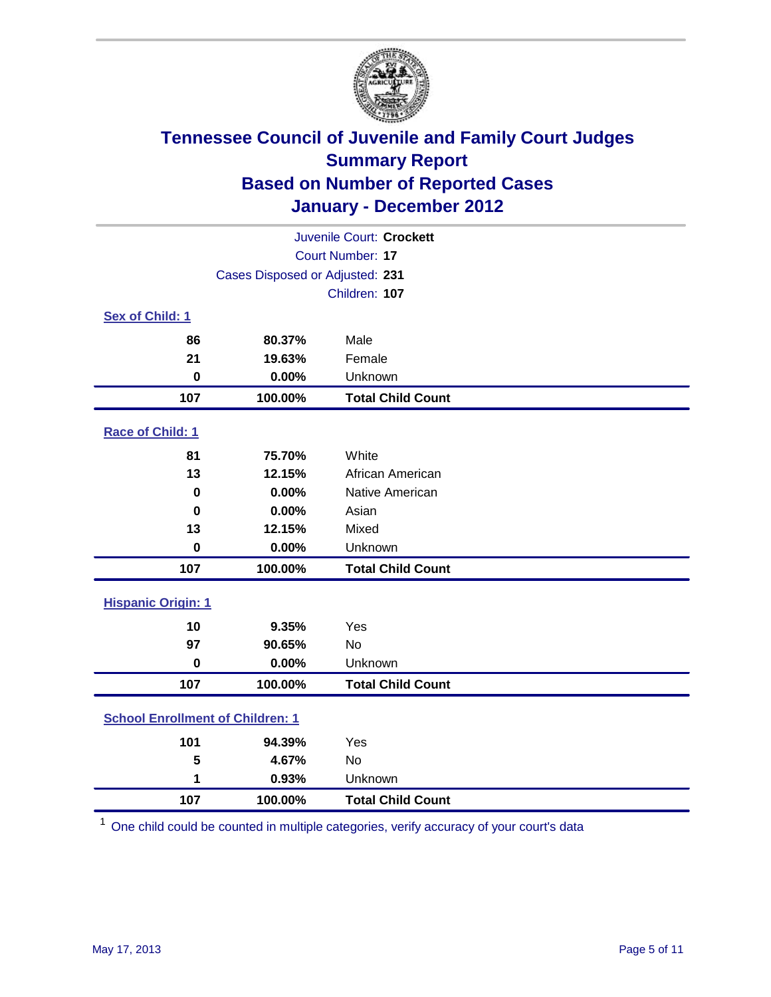

| Juvenile Court: Crockett                |                                 |                          |  |  |
|-----------------------------------------|---------------------------------|--------------------------|--|--|
| Court Number: 17                        |                                 |                          |  |  |
|                                         | Cases Disposed or Adjusted: 231 |                          |  |  |
|                                         |                                 | Children: 107            |  |  |
| Sex of Child: 1                         |                                 |                          |  |  |
| 86                                      | 80.37%                          | Male                     |  |  |
| 21                                      | 19.63%                          | Female                   |  |  |
| $\mathbf 0$                             | 0.00%                           | Unknown                  |  |  |
| 107                                     | 100.00%                         | <b>Total Child Count</b> |  |  |
| Race of Child: 1                        |                                 |                          |  |  |
| 81                                      | 75.70%                          | White                    |  |  |
| 13                                      | 12.15%                          | African American         |  |  |
| $\mathbf 0$                             | 0.00%                           | Native American          |  |  |
| $\mathbf 0$                             | 0.00%                           | Asian                    |  |  |
| 13                                      | 12.15%                          | Mixed                    |  |  |
| $\pmb{0}$                               | 0.00%                           | Unknown                  |  |  |
| 107                                     | 100.00%                         | <b>Total Child Count</b> |  |  |
| <b>Hispanic Origin: 1</b>               |                                 |                          |  |  |
| 10                                      | 9.35%                           | Yes                      |  |  |
| 97                                      | 90.65%                          | <b>No</b>                |  |  |
| $\mathbf 0$                             | 0.00%                           | Unknown                  |  |  |
| 107                                     | 100.00%                         | <b>Total Child Count</b> |  |  |
| <b>School Enrollment of Children: 1</b> |                                 |                          |  |  |
| 101                                     | 94.39%                          | Yes                      |  |  |
| 5                                       | 4.67%                           | No                       |  |  |
| 1                                       | 0.93%                           | Unknown                  |  |  |
| 107                                     | 100.00%                         | <b>Total Child Count</b> |  |  |

One child could be counted in multiple categories, verify accuracy of your court's data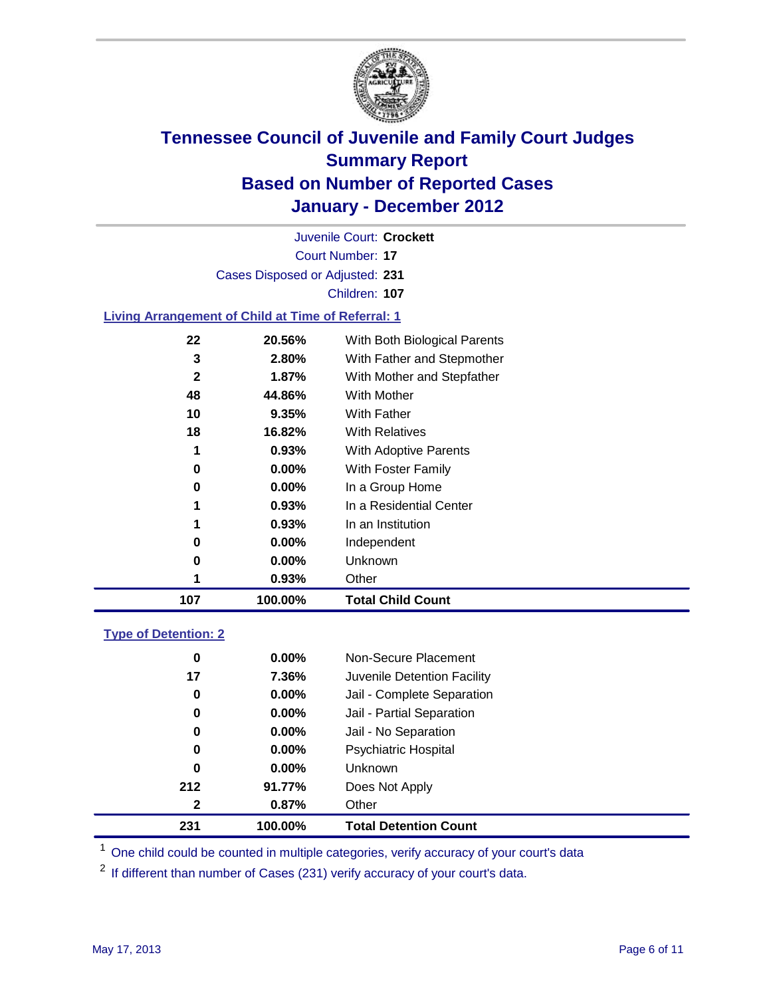

Court Number: **17** Juvenile Court: **Crockett** Cases Disposed or Adjusted: **231** Children: **107**

#### **Living Arrangement of Child at Time of Referral: 1**

| 107          | 100.00%  | <b>Total Child Count</b>     |
|--------------|----------|------------------------------|
| 1            | 0.93%    | Other                        |
| 0            | 0.00%    | Unknown                      |
| 0            | $0.00\%$ | Independent                  |
| 1            | 0.93%    | In an Institution            |
| 1            | 0.93%    | In a Residential Center      |
| 0            | $0.00\%$ | In a Group Home              |
| 0            | $0.00\%$ | With Foster Family           |
| 1            | 0.93%    | With Adoptive Parents        |
| 18           | 16.82%   | <b>With Relatives</b>        |
| 10           | 9.35%    | With Father                  |
| 48           | 44.86%   | With Mother                  |
| $\mathbf{2}$ | 1.87%    | With Mother and Stepfather   |
| 3            | 2.80%    | With Father and Stepmother   |
| 22           | 20.56%   | With Both Biological Parents |
|              |          |                              |

### **Type of Detention: 2**

| 231              | 100.00%  | <b>Total Detention Count</b> |  |
|------------------|----------|------------------------------|--|
| $\mathbf{2}$     | 0.87%    | Other                        |  |
| 212              | 91.77%   | Does Not Apply               |  |
| $\bf{0}$         | $0.00\%$ | Unknown                      |  |
| 0                | $0.00\%$ | Psychiatric Hospital         |  |
| 0                | 0.00%    | Jail - No Separation         |  |
| 0                | $0.00\%$ | Jail - Partial Separation    |  |
| $\boldsymbol{0}$ | $0.00\%$ | Jail - Complete Separation   |  |
| 17               | 7.36%    | Juvenile Detention Facility  |  |
| 0                | $0.00\%$ | Non-Secure Placement         |  |
|                  |          |                              |  |

<sup>1</sup> One child could be counted in multiple categories, verify accuracy of your court's data

<sup>2</sup> If different than number of Cases (231) verify accuracy of your court's data.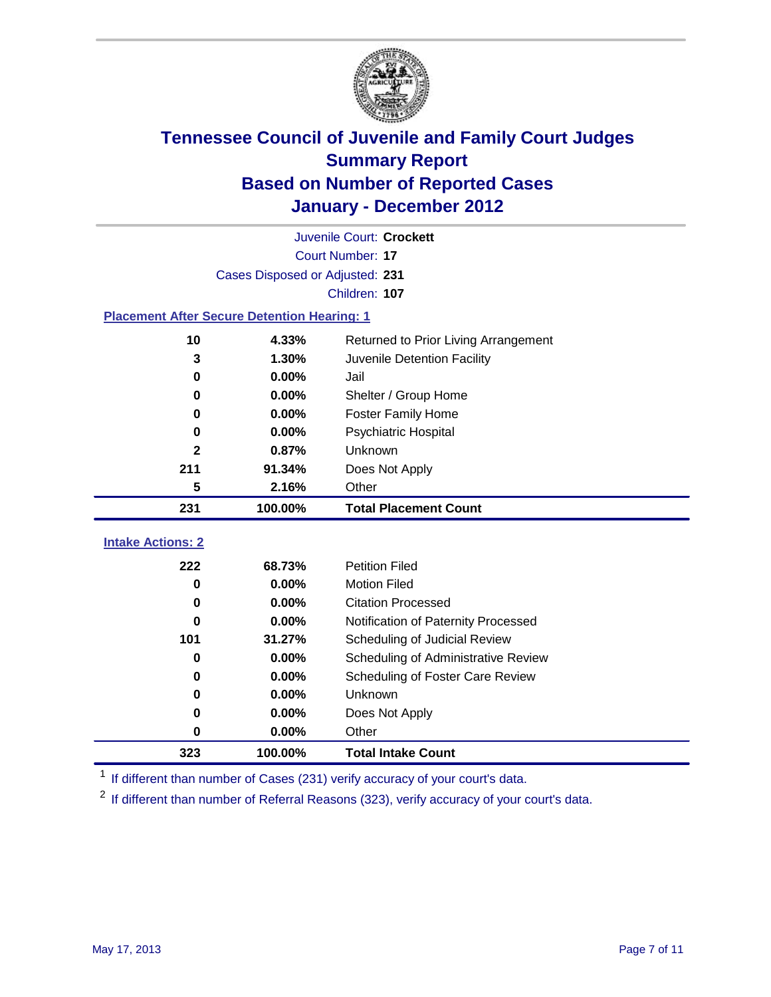

| Juvenile Court: Crockett |                                                    |                                                  |  |  |  |  |
|--------------------------|----------------------------------------------------|--------------------------------------------------|--|--|--|--|
|                          | <b>Court Number: 17</b>                            |                                                  |  |  |  |  |
|                          | Cases Disposed or Adjusted: 231                    |                                                  |  |  |  |  |
|                          | Children: 107                                      |                                                  |  |  |  |  |
|                          | <b>Placement After Secure Detention Hearing: 1</b> |                                                  |  |  |  |  |
| 10                       | 4.33%                                              | Returned to Prior Living Arrangement             |  |  |  |  |
| 3                        | 1.30%                                              | Juvenile Detention Facility                      |  |  |  |  |
| $\bf{0}$                 | 0.00%                                              | Jail                                             |  |  |  |  |
| 0                        | 0.00%                                              | Shelter / Group Home                             |  |  |  |  |
| 0                        | 0.00%                                              | <b>Foster Family Home</b>                        |  |  |  |  |
| $\bf{0}$                 | 0.00%                                              | Psychiatric Hospital                             |  |  |  |  |
| $\mathbf{2}$             | 0.87%                                              | Unknown                                          |  |  |  |  |
| 211                      | 91.34%                                             | Does Not Apply                                   |  |  |  |  |
| 5                        | 2.16%                                              | Other                                            |  |  |  |  |
| 231                      | 100.00%                                            | <b>Total Placement Count</b>                     |  |  |  |  |
| <b>Intake Actions: 2</b> |                                                    |                                                  |  |  |  |  |
| 222                      |                                                    |                                                  |  |  |  |  |
|                          |                                                    |                                                  |  |  |  |  |
| 0                        | 68.73%                                             | <b>Petition Filed</b>                            |  |  |  |  |
| 0                        | 0.00%<br>0.00%                                     | <b>Motion Filed</b><br><b>Citation Processed</b> |  |  |  |  |
| 0                        | 0.00%                                              | Notification of Paternity Processed              |  |  |  |  |
| 101                      | 31.27%                                             | Scheduling of Judicial Review                    |  |  |  |  |
| 0                        | 0.00%                                              | Scheduling of Administrative Review              |  |  |  |  |
| 0                        | 0.00%                                              | Scheduling of Foster Care Review                 |  |  |  |  |
| $\bf{0}$                 | 0.00%                                              | Unknown                                          |  |  |  |  |
| 0                        | 0.00%                                              | Does Not Apply                                   |  |  |  |  |
| 0                        | 0.00%                                              | Other                                            |  |  |  |  |

<sup>1</sup> If different than number of Cases (231) verify accuracy of your court's data.

<sup>2</sup> If different than number of Referral Reasons (323), verify accuracy of your court's data.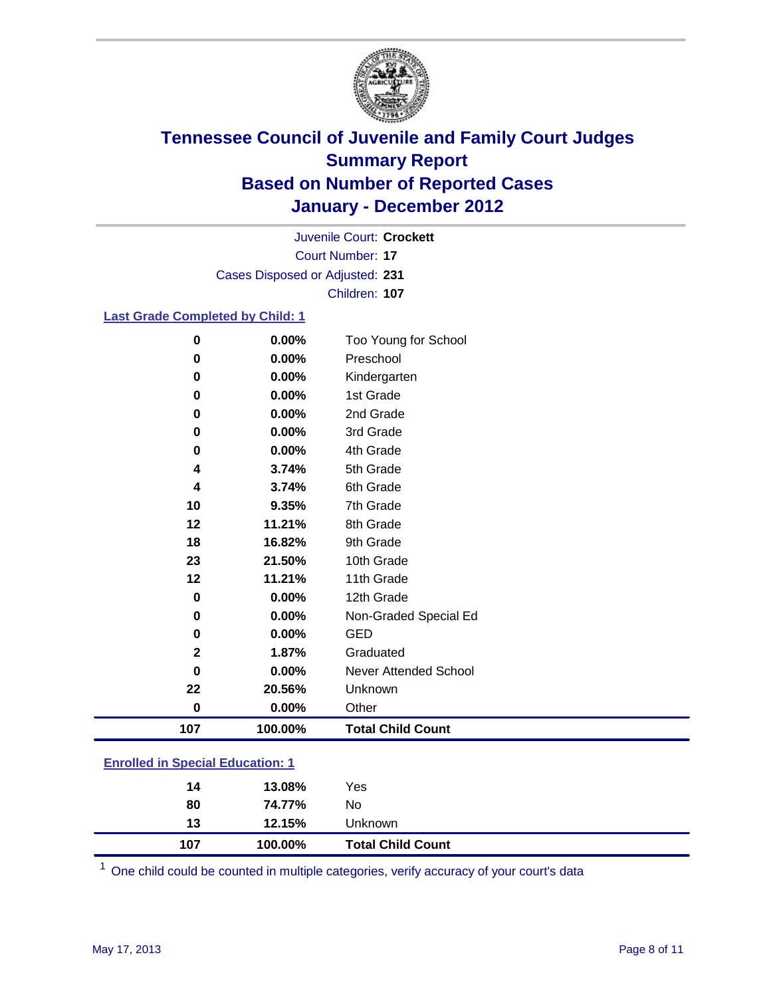

Court Number: **17** Juvenile Court: **Crockett** Cases Disposed or Adjusted: **231** Children: **107**

#### **Last Grade Completed by Child: 1**

| 0                                       | 0.00%   | Too Young for School         |  |
|-----------------------------------------|---------|------------------------------|--|
| 0                                       | 0.00%   | Preschool                    |  |
| 0                                       | 0.00%   | Kindergarten                 |  |
| 0                                       | 0.00%   | 1st Grade                    |  |
| 0                                       | 0.00%   | 2nd Grade                    |  |
| 0                                       | 0.00%   | 3rd Grade                    |  |
| 0                                       | 0.00%   | 4th Grade                    |  |
| 4                                       | 3.74%   | 5th Grade                    |  |
| 4                                       | 3.74%   | 6th Grade                    |  |
| 10                                      | 9.35%   | 7th Grade                    |  |
| 12                                      | 11.21%  | 8th Grade                    |  |
| 18                                      | 16.82%  | 9th Grade                    |  |
| 23                                      | 21.50%  | 10th Grade                   |  |
| 12                                      | 11.21%  | 11th Grade                   |  |
| $\bf{0}$                                | 0.00%   | 12th Grade                   |  |
| 0                                       | 0.00%   | Non-Graded Special Ed        |  |
| 0                                       | 0.00%   | <b>GED</b>                   |  |
| $\mathbf{2}$                            | 1.87%   | Graduated                    |  |
| 0                                       | 0.00%   | <b>Never Attended School</b> |  |
| 22                                      | 20.56%  | Unknown                      |  |
| $\bf{0}$                                | 0.00%   | Other                        |  |
| 107                                     | 100.00% | <b>Total Child Count</b>     |  |
| <b>Enrolled in Special Education: 1</b> |         |                              |  |

| 14  | 13.08%  | Yes                      |
|-----|---------|--------------------------|
| 80  | 74.77%  | No                       |
| 13  | 12.15%  | <b>Unknown</b>           |
| 107 | 100.00% | <b>Total Child Count</b> |

One child could be counted in multiple categories, verify accuracy of your court's data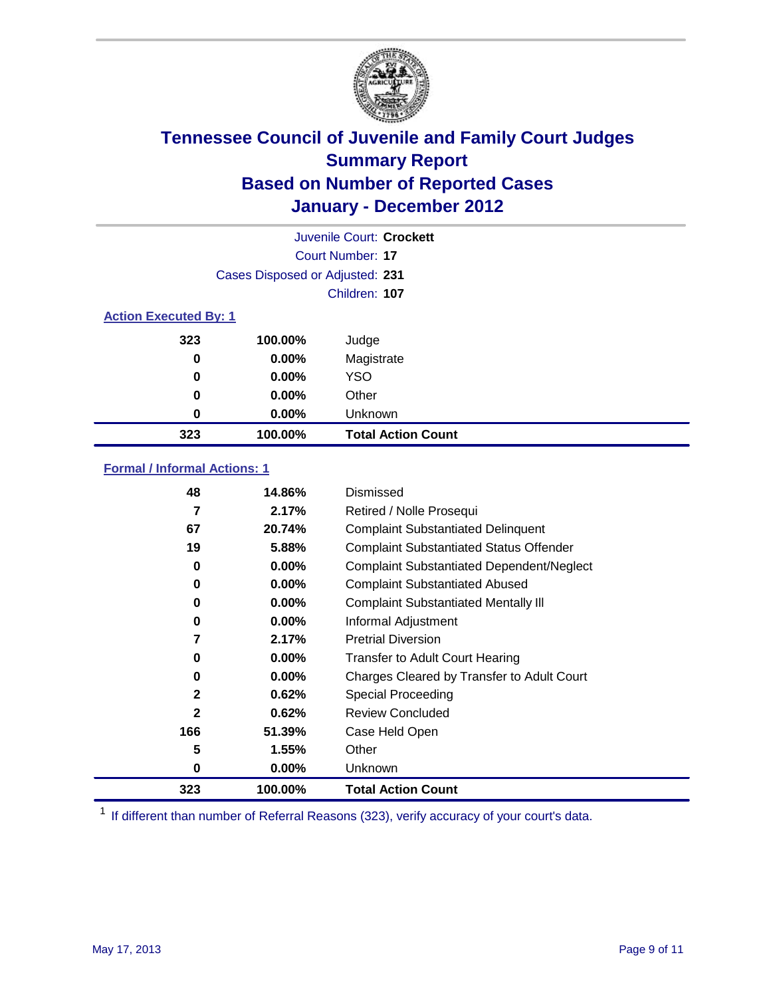

|                              | Juvenile Court: Crockett        |                           |  |  |  |
|------------------------------|---------------------------------|---------------------------|--|--|--|
|                              | Court Number: 17                |                           |  |  |  |
|                              | Cases Disposed or Adjusted: 231 |                           |  |  |  |
|                              |                                 | Children: 107             |  |  |  |
| <b>Action Executed By: 1</b> |                                 |                           |  |  |  |
| 323                          | 100.00%                         | Judge                     |  |  |  |
| $\bf{0}$                     | $0.00\%$                        | Magistrate                |  |  |  |
| $\bf{0}$                     | $0.00\%$                        | <b>YSO</b>                |  |  |  |
| 0                            | $0.00\%$                        | Other                     |  |  |  |
| 0                            | 0.00%                           | Unknown                   |  |  |  |
| 323                          | 100.00%                         | <b>Total Action Count</b> |  |  |  |

### **Formal / Informal Actions: 1**

| 48           | 14.86%   | Dismissed                                        |
|--------------|----------|--------------------------------------------------|
| 7            | 2.17%    | Retired / Nolle Prosequi                         |
| 67           | 20.74%   | <b>Complaint Substantiated Delinquent</b>        |
| 19           | 5.88%    | <b>Complaint Substantiated Status Offender</b>   |
| 0            | 0.00%    | <b>Complaint Substantiated Dependent/Neglect</b> |
| 0            | 0.00%    | <b>Complaint Substantiated Abused</b>            |
| 0            | $0.00\%$ | <b>Complaint Substantiated Mentally III</b>      |
| 0            | $0.00\%$ | Informal Adjustment                              |
| 7            | 2.17%    | <b>Pretrial Diversion</b>                        |
| 0            | $0.00\%$ | <b>Transfer to Adult Court Hearing</b>           |
| 0            | 0.00%    | Charges Cleared by Transfer to Adult Court       |
| $\mathbf{2}$ | 0.62%    | Special Proceeding                               |
| $\mathbf{2}$ | 0.62%    | <b>Review Concluded</b>                          |
| 166          | 51.39%   | Case Held Open                                   |
| 5            | 1.55%    | Other                                            |
| 0            | $0.00\%$ | <b>Unknown</b>                                   |
| 323          | 100.00%  | <b>Total Action Count</b>                        |

<sup>1</sup> If different than number of Referral Reasons (323), verify accuracy of your court's data.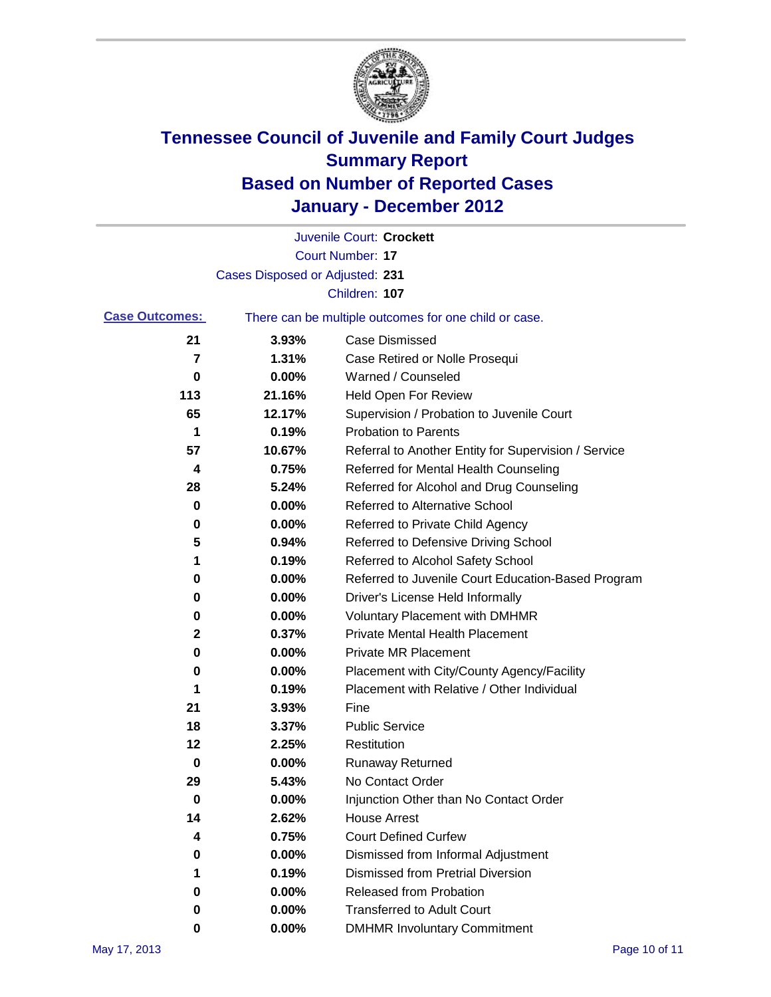

|                       |                                 | Juvenile Court: Crockett                              |
|-----------------------|---------------------------------|-------------------------------------------------------|
|                       |                                 | <b>Court Number: 17</b>                               |
|                       | Cases Disposed or Adjusted: 231 |                                                       |
|                       |                                 | Children: 107                                         |
| <b>Case Outcomes:</b> |                                 | There can be multiple outcomes for one child or case. |
| 21                    | 3.93%                           | <b>Case Dismissed</b>                                 |
| 7                     | 1.31%                           | Case Retired or Nolle Prosequi                        |
| 0                     | 0.00%                           | Warned / Counseled                                    |
| 113                   | 21.16%                          | Held Open For Review                                  |
| 65                    | 12.17%                          | Supervision / Probation to Juvenile Court             |
| 1                     | 0.19%                           | <b>Probation to Parents</b>                           |
| 57                    | 10.67%                          | Referral to Another Entity for Supervision / Service  |
| 4                     | 0.75%                           | Referred for Mental Health Counseling                 |
| 28                    | 5.24%                           | Referred for Alcohol and Drug Counseling              |
| 0                     | 0.00%                           | <b>Referred to Alternative School</b>                 |
| 0                     | 0.00%                           | Referred to Private Child Agency                      |
| 5                     | 0.94%                           | Referred to Defensive Driving School                  |
| 1                     | 0.19%                           | Referred to Alcohol Safety School                     |
| 0                     | 0.00%                           | Referred to Juvenile Court Education-Based Program    |
| 0                     | 0.00%                           | Driver's License Held Informally                      |
| 0                     | 0.00%                           | <b>Voluntary Placement with DMHMR</b>                 |
| 2                     | 0.37%                           | <b>Private Mental Health Placement</b>                |
| 0                     | 0.00%                           | <b>Private MR Placement</b>                           |
| 0                     | 0.00%                           | Placement with City/County Agency/Facility            |
| 1                     | 0.19%                           | Placement with Relative / Other Individual            |
| 21                    | 3.93%                           | Fine                                                  |
| 18                    | 3.37%                           | <b>Public Service</b>                                 |
| 12                    | 2.25%                           | Restitution                                           |
| 0                     | 0.00%                           | <b>Runaway Returned</b>                               |
| 29                    | 5.43%                           | No Contact Order                                      |
| 0                     | 0.00%                           | Injunction Other than No Contact Order                |
| 14                    | 2.62%                           | <b>House Arrest</b>                                   |
| 4                     | 0.75%                           | <b>Court Defined Curfew</b>                           |
| 0                     | 0.00%                           | Dismissed from Informal Adjustment                    |
| 1                     | 0.19%                           | <b>Dismissed from Pretrial Diversion</b>              |
| 0                     | 0.00%                           | Released from Probation                               |
| 0                     | 0.00%                           | <b>Transferred to Adult Court</b>                     |
| 0                     | 0.00%                           | <b>DMHMR Involuntary Commitment</b>                   |